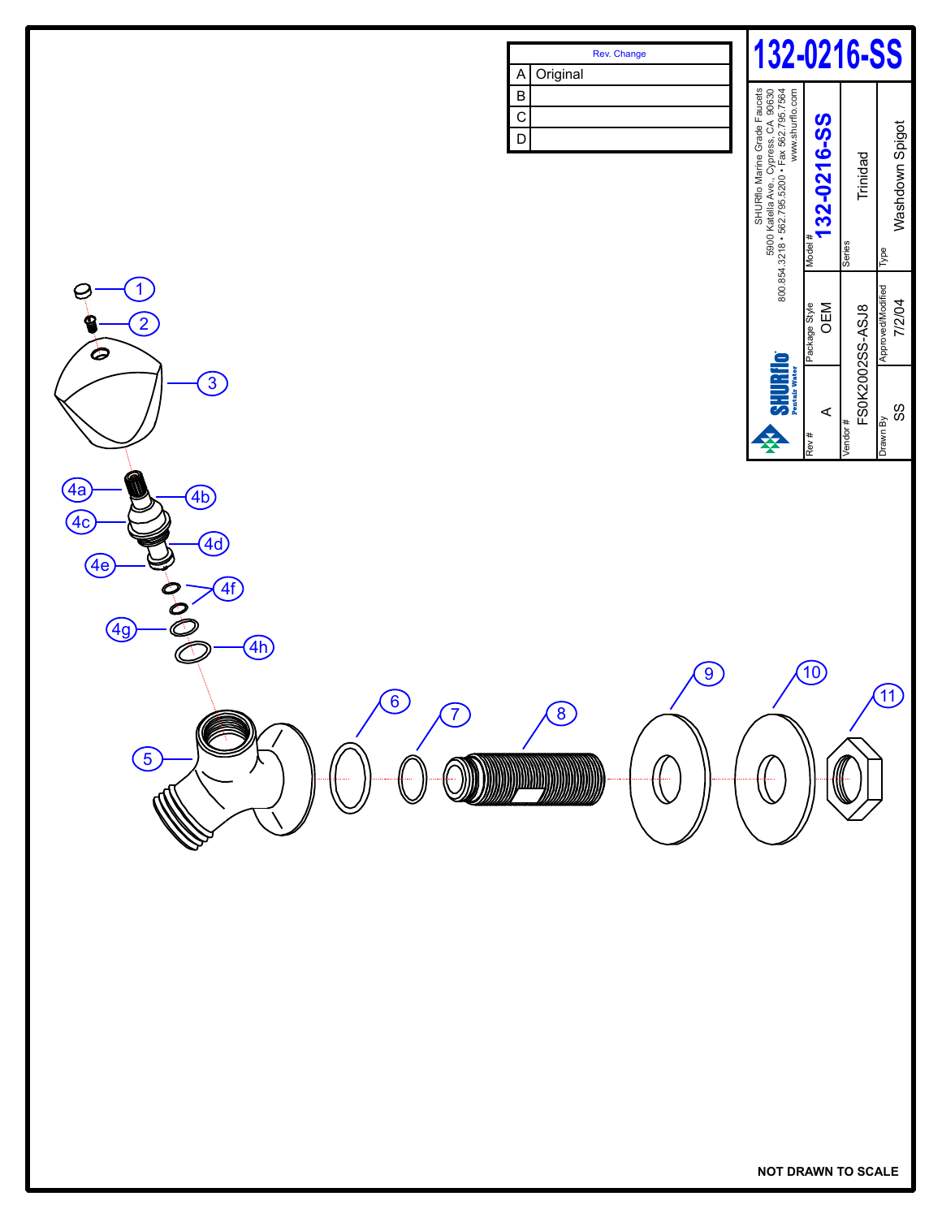